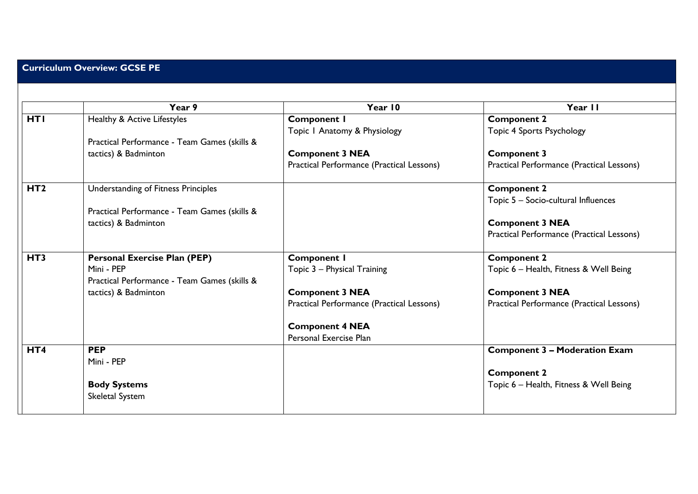|                 | Year 9                                                     | Year 10                                   | Year II                                   |
|-----------------|------------------------------------------------------------|-------------------------------------------|-------------------------------------------|
| <b>HTI</b>      | Healthy & Active Lifestyles                                | <b>Component I</b>                        | <b>Component 2</b>                        |
|                 |                                                            | Topic I Anatomy & Physiology              | Topic 4 Sports Psychology                 |
|                 | Practical Performance - Team Games (skills &               |                                           |                                           |
|                 | tactics) & Badminton                                       | <b>Component 3 NEA</b>                    | <b>Component 3</b>                        |
|                 |                                                            | Practical Performance (Practical Lessons) | Practical Performance (Practical Lessons) |
| HT <sub>2</sub> | Understanding of Fitness Principles                        |                                           | <b>Component 2</b>                        |
|                 |                                                            |                                           | Topic 5 - Socio-cultural Influences       |
|                 | Practical Performance - Team Games (skills &               |                                           |                                           |
|                 | tactics) & Badminton                                       |                                           | <b>Component 3 NEA</b>                    |
|                 |                                                            |                                           | Practical Performance (Practical Lessons) |
| HT <sub>3</sub> | <b>Personal Exercise Plan (PEP)</b>                        | <b>Component I</b>                        | <b>Component 2</b>                        |
|                 | Mini - PEP<br>Practical Performance - Team Games (skills & | Topic 3 - Physical Training               | Topic 6 - Health, Fitness & Well Being    |
|                 | tactics) & Badminton                                       | <b>Component 3 NEA</b>                    | <b>Component 3 NEA</b>                    |
|                 |                                                            | Practical Performance (Practical Lessons) | Practical Performance (Practical Lessons) |
|                 |                                                            | <b>Component 4 NEA</b>                    |                                           |
|                 |                                                            | Personal Exercise Plan                    |                                           |
| HT4             | <b>PEP</b>                                                 |                                           | <b>Component 3 - Moderation Exam</b>      |
|                 | Mini - PEP                                                 |                                           |                                           |
|                 |                                                            |                                           | <b>Component 2</b>                        |
|                 | <b>Body Systems</b>                                        |                                           | Topic 6 - Health, Fitness & Well Being    |
|                 | Skeletal System                                            |                                           |                                           |